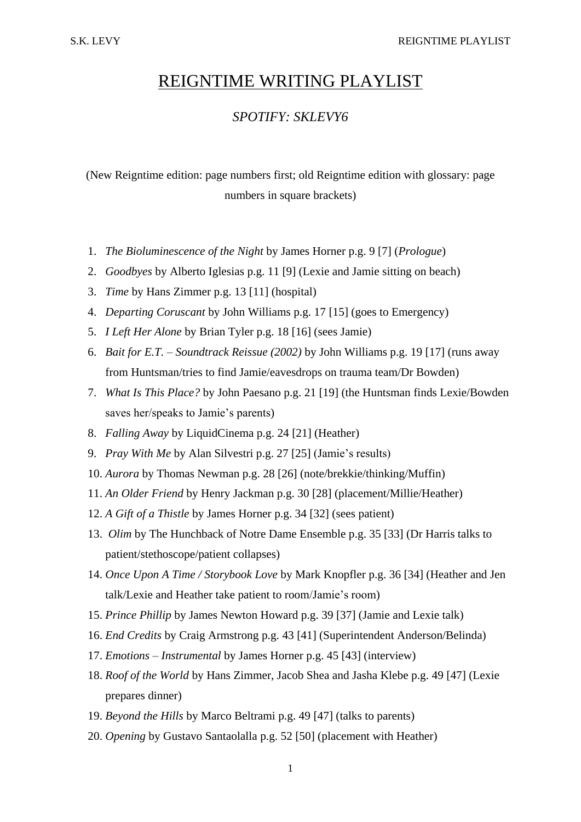## REIGNTIME WRITING PLAYLIST

## *SPOTIFY: SKLEVY6*

(New Reigntime edition: page numbers first; old Reigntime edition with glossary: page numbers in square brackets)

- 1. *The Bioluminescence of the Night* by James Horner p.g. 9 [7] (*Prologue*)
- 2. *Goodbyes* by Alberto Iglesias p.g. 11 [9] (Lexie and Jamie sitting on beach)
- 3. *Time* by Hans Zimmer p.g. 13 [11] (hospital)
- 4. *Departing Coruscant* by John Williams p.g. 17 [15] (goes to Emergency)
- 5. *I Left Her Alone* by Brian Tyler p.g. 18 [16] (sees Jamie)
- 6. *Bait for E.T. – Soundtrack Reissue (2002)* by John Williams p.g. 19 [17] (runs away from Huntsman/tries to find Jamie/eavesdrops on trauma team/Dr Bowden)
- 7. *What Is This Place?* by John Paesano p.g. 21 [19] (the Huntsman finds Lexie/Bowden saves her/speaks to Jamie's parents)
- 8. *Falling Away* by LiquidCinema p.g. 24 [21] (Heather)
- 9. *Pray With Me* by Alan Silvestri p.g. 27 [25] (Jamie's results)
- 10. *Aurora* by Thomas Newman p.g. 28 [26] (note/brekkie/thinking/Muffin)
- 11. *An Older Friend* by Henry Jackman p.g. 30 [28] (placement/Millie/Heather)
- 12. *A Gift of a Thistle* by James Horner p.g. 34 [32] (sees patient)
- 13. *Olim* by The Hunchback of Notre Dame Ensemble p.g. 35 [33] (Dr Harris talks to patient/stethoscope/patient collapses)
- 14. *Once Upon A Time / Storybook Love* by Mark Knopfler p.g. 36 [34] (Heather and Jen talk/Lexie and Heather take patient to room/Jamie's room)
- 15. *Prince Phillip* by James Newton Howard p.g. 39 [37] (Jamie and Lexie talk)
- 16. *End Credits* by Craig Armstrong p.g. 43 [41] (Superintendent Anderson/Belinda)
- 17. *Emotions – Instrumental* by James Horner p.g. 45 [43] (interview)
- 18. *Roof of the World* by Hans Zimmer, Jacob Shea and Jasha Klebe p.g. 49 [47] (Lexie prepares dinner)
- 19. *Beyond the Hills* by Marco Beltrami p.g. 49 [47] (talks to parents)
- 20. *Opening* by Gustavo Santaolalla p.g. 52 [50] (placement with Heather)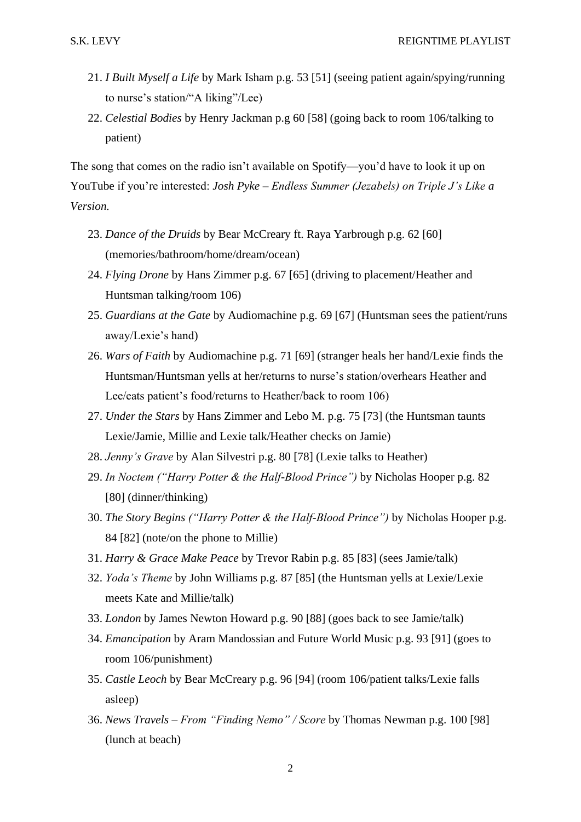- 21. *I Built Myself a Life* by Mark Isham p.g. 53 [51] (seeing patient again/spying/running to nurse's station/"A liking"/Lee)
- 22. *Celestial Bodies* by Henry Jackman p.g 60 [58] (going back to room 106/talking to patient)

The song that comes on the radio isn't available on Spotify—you'd have to look it up on YouTube if you're interested: *Josh Pyke – Endless Summer (Jezabels) on Triple J's Like a Version.*

- 23. *Dance of the Druids* by Bear McCreary ft. Raya Yarbrough p.g. 62 [60] (memories/bathroom/home/dream/ocean)
- 24. *Flying Drone* by Hans Zimmer p.g. 67 [65] (driving to placement/Heather and Huntsman talking/room 106)
- 25. *Guardians at the Gate* by Audiomachine p.g. 69 [67] (Huntsman sees the patient/runs away/Lexie's hand)
- 26. *Wars of Faith* by Audiomachine p.g. 71 [69] (stranger heals her hand/Lexie finds the Huntsman/Huntsman yells at her/returns to nurse's station/overhears Heather and Lee/eats patient's food/returns to Heather/back to room 106)
- 27. *Under the Stars* by Hans Zimmer and Lebo M. p.g. 75 [73] (the Huntsman taunts Lexie/Jamie, Millie and Lexie talk/Heather checks on Jamie)
- 28. *Jenny's Grave* by Alan Silvestri p.g. 80 [78] (Lexie talks to Heather)
- 29. *In Noctem ("Harry Potter & the Half-Blood Prince")* by Nicholas Hooper p.g. 82 [80] (dinner/thinking)
- 30. *The Story Begins ("Harry Potter & the Half-Blood Prince")* by Nicholas Hooper p.g. 84 [82] (note/on the phone to Millie)
- 31. *Harry & Grace Make Peace* by Trevor Rabin p.g. 85 [83] (sees Jamie/talk)
- 32. *Yoda's Theme* by John Williams p.g. 87 [85] (the Huntsman yells at Lexie/Lexie meets Kate and Millie/talk)
- 33. *London* by James Newton Howard p.g. 90 [88] (goes back to see Jamie/talk)
- 34. *Emancipation* by Aram Mandossian and Future World Music p.g. 93 [91] (goes to room 106/punishment)
- 35. *Castle Leoch* by Bear McCreary p.g. 96 [94] (room 106/patient talks/Lexie falls asleep)
- 36. *News Travels – From "Finding Nemo" / Score* by Thomas Newman p.g. 100 [98] (lunch at beach)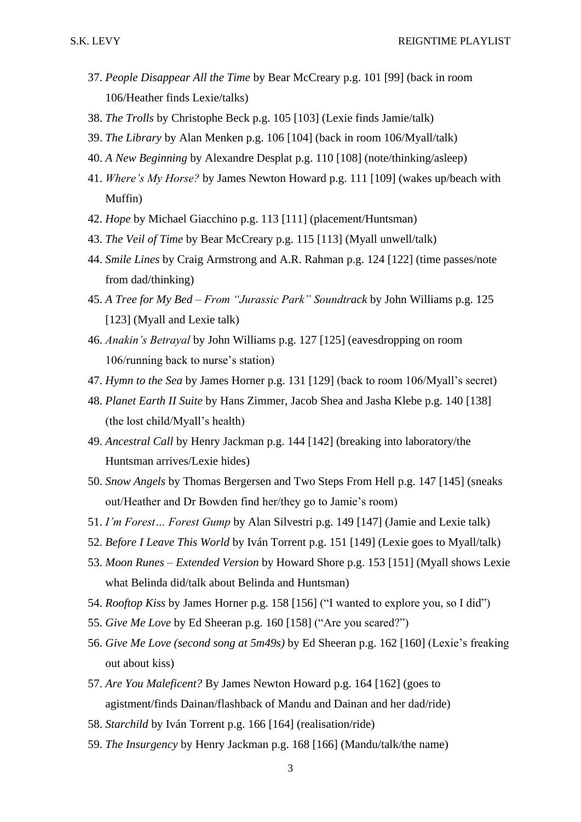- 37. *People Disappear All the Time* by Bear McCreary p.g. 101 [99] (back in room 106/Heather finds Lexie/talks)
- 38. *The Trolls* by Christophe Beck p.g. 105 [103] (Lexie finds Jamie/talk)
- 39. *The Library* by Alan Menken p.g. 106 [104] (back in room 106/Myall/talk)
- 40. *A New Beginning* by Alexandre Desplat p.g. 110 [108] (note/thinking/asleep)
- 41. *Where's My Horse?* by James Newton Howard p.g. 111 [109] (wakes up/beach with Muffin)
- 42. *Hope* by Michael Giacchino p.g. 113 [111] (placement/Huntsman)
- 43. *The Veil of Time* by Bear McCreary p.g. 115 [113] (Myall unwell/talk)
- 44. *Smile Lines* by Craig Armstrong and A.R. Rahman p.g. 124 [122] (time passes/note from dad/thinking)
- 45. *A Tree for My Bed – From "Jurassic Park" Soundtrack* by John Williams p.g. 125 [123] (Myall and Lexie talk)
- 46. *Anakin's Betrayal* by John Williams p.g. 127 [125] (eavesdropping on room 106/running back to nurse's station)
- 47. *Hymn to the Sea* by James Horner p.g. 131 [129] (back to room 106/Myall's secret)
- 48. *Planet Earth II Suite* by Hans Zimmer, Jacob Shea and Jasha Klebe p.g. 140 [138] (the lost child/Myall's health)
- 49. *Ancestral Call* by Henry Jackman p.g. 144 [142] (breaking into laboratory/the Huntsman arrives/Lexie hides)
- 50. *Snow Angels* by Thomas Bergersen and Two Steps From Hell p.g. 147 [145] (sneaks out/Heather and Dr Bowden find her/they go to Jamie's room)
- 51. *I'm Forest… Forest Gump* by Alan Silvestri p.g. 149 [147] (Jamie and Lexie talk)
- 52. *Before I Leave This World* by Iván Torrent p.g. 151 [149] (Lexie goes to Myall/talk)
- 53. *Moon Runes – Extended Version* by Howard Shore p.g. 153 [151] (Myall shows Lexie what Belinda did/talk about Belinda and Huntsman)
- 54. *Rooftop Kiss* by James Horner p.g. 158 [156] ("I wanted to explore you, so I did")
- 55. *Give Me Love* by Ed Sheeran p.g. 160 [158] ("Are you scared?")
- 56. *Give Me Love (second song at 5m49s)* by Ed Sheeran p.g. 162 [160] (Lexie's freaking out about kiss)
- 57. *Are You Maleficent?* By James Newton Howard p.g. 164 [162] (goes to agistment/finds Dainan/flashback of Mandu and Dainan and her dad/ride)
- 58. *Starchild* by Iván Torrent p.g. 166 [164] (realisation/ride)
- 59. *The Insurgency* by Henry Jackman p.g. 168 [166] (Mandu/talk/the name)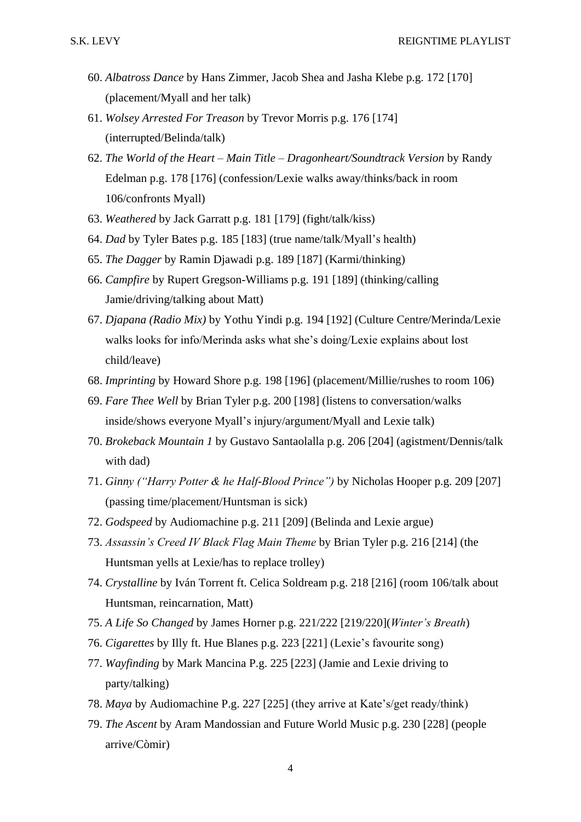- 60. *Albatross Dance* by Hans Zimmer, Jacob Shea and Jasha Klebe p.g. 172 [170] (placement/Myall and her talk)
- 61. *Wolsey Arrested For Treason* by Trevor Morris p.g. 176 [174] (interrupted/Belinda/talk)
- 62. *The World of the Heart – Main Title – Dragonheart/Soundtrack Version* by Randy Edelman p.g. 178 [176] (confession/Lexie walks away/thinks/back in room 106/confronts Myall)
- 63. *Weathered* by Jack Garratt p.g. 181 [179] (fight/talk/kiss)
- 64. *Dad* by Tyler Bates p.g. 185 [183] (true name/talk/Myall's health)
- 65. *The Dagger* by Ramin Djawadi p.g. 189 [187] (Karmi/thinking)
- 66. *Campfire* by Rupert Gregson-Williams p.g. 191 [189] (thinking/calling Jamie/driving/talking about Matt)
- 67. *Djapana (Radio Mix)* by Yothu Yindi p.g. 194 [192] (Culture Centre/Merinda/Lexie walks looks for info/Merinda asks what she's doing/Lexie explains about lost child/leave)
- 68. *Imprinting* by Howard Shore p.g. 198 [196] (placement/Millie/rushes to room 106)
- 69. *Fare Thee Well* by Brian Tyler p.g. 200 [198] (listens to conversation/walks inside/shows everyone Myall's injury/argument/Myall and Lexie talk)
- 70. *Brokeback Mountain 1* by Gustavo Santaolalla p.g. 206 [204] (agistment/Dennis/talk with dad)
- 71. *Ginny ("Harry Potter & he Half-Blood Prince")* by Nicholas Hooper p.g. 209 [207] (passing time/placement/Huntsman is sick)
- 72. *Godspeed* by Audiomachine p.g. 211 [209] (Belinda and Lexie argue)
- 73. *Assassin's Creed IV Black Flag Main Theme* by Brian Tyler p.g. 216 [214] (the Huntsman yells at Lexie/has to replace trolley)
- 74. *Crystalline* by Iván Torrent ft. Celica Soldream p.g. 218 [216] (room 106/talk about Huntsman, reincarnation, Matt)
- 75. *A Life So Changed* by James Horner p.g. 221/222 [219/220](*Winter's Breath*)
- 76. *Cigarettes* by Illy ft. Hue Blanes p.g. 223 [221] (Lexie's favourite song)
- 77. *Wayfinding* by Mark Mancina P.g. 225 [223] (Jamie and Lexie driving to party/talking)
- 78. *Maya* by Audiomachine P.g. 227 [225] (they arrive at Kate's/get ready/think)
- 79. *The Ascent* by Aram Mandossian and Future World Music p.g. 230 [228] (people arrive/Còmir)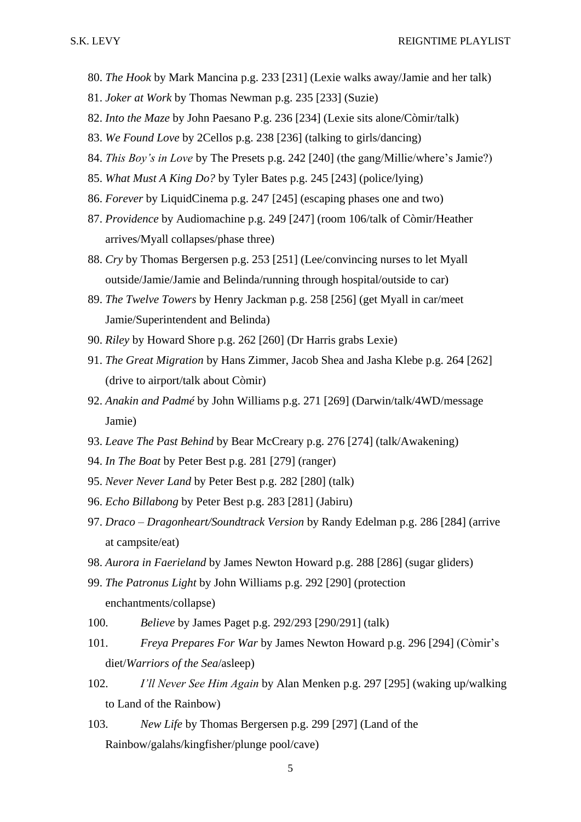- 80. *The Hook* by Mark Mancina p.g. 233 [231] (Lexie walks away/Jamie and her talk)
- 81. *Joker at Work* by Thomas Newman p.g. 235 [233] (Suzie)
- 82. *Into the Maze* by John Paesano P.g. 236 [234] (Lexie sits alone/Còmir/talk)
- 83. *We Found Love* by 2Cellos p.g. 238 [236] (talking to girls/dancing)
- 84. *This Boy's in Love* by The Presets p.g. 242 [240] (the gang/Millie/where's Jamie?)
- 85. *What Must A King Do?* by Tyler Bates p.g. 245 [243] (police/lying)
- 86. *Forever* by LiquidCinema p.g. 247 [245] (escaping phases one and two)
- 87. *Providence* by Audiomachine p.g. 249 [247] (room 106/talk of Còmir/Heather arrives/Myall collapses/phase three)
- 88. *Cry* by Thomas Bergersen p.g. 253 [251] (Lee/convincing nurses to let Myall outside/Jamie/Jamie and Belinda/running through hospital/outside to car)
- 89. *The Twelve Towers* by Henry Jackman p.g. 258 [256] (get Myall in car/meet Jamie/Superintendent and Belinda)
- 90. *Riley* by Howard Shore p.g. 262 [260] (Dr Harris grabs Lexie)
- 91. *The Great Migration* by Hans Zimmer, Jacob Shea and Jasha Klebe p.g. 264 [262] (drive to airport/talk about Còmir)
- 92. *Anakin and Padmé* by John Williams p.g. 271 [269] (Darwin/talk/4WD/message Jamie)
- 93. *Leave The Past Behind* by Bear McCreary p.g. 276 [274] (talk/Awakening)
- 94. *In The Boat* by Peter Best p.g. 281 [279] (ranger)
- 95. *Never Never Land* by Peter Best p.g. 282 [280] (talk)
- 96. *Echo Billabong* by Peter Best p.g. 283 [281] (Jabiru)
- 97. *Draco – Dragonheart/Soundtrack Version* by Randy Edelman p.g. 286 [284] (arrive at campsite/eat)
- 98. *Aurora in Faerieland* by James Newton Howard p.g. 288 [286] (sugar gliders)
- 99. *The Patronus Light* by John Williams p.g. 292 [290] (protection enchantments/collapse)
- 100. *Believe* by James Paget p.g. 292/293 [290/291] (talk)
- 101. *Freya Prepares For War* by James Newton Howard p.g. 296 [294] (Còmir's diet/*Warriors of the Sea*/asleep)
- 102. *I'll Never See Him Again* by Alan Menken p.g. 297 [295] (waking up/walking to Land of the Rainbow)
- 103. *New Life* by Thomas Bergersen p.g. 299 [297] (Land of the Rainbow/galahs/kingfisher/plunge pool/cave)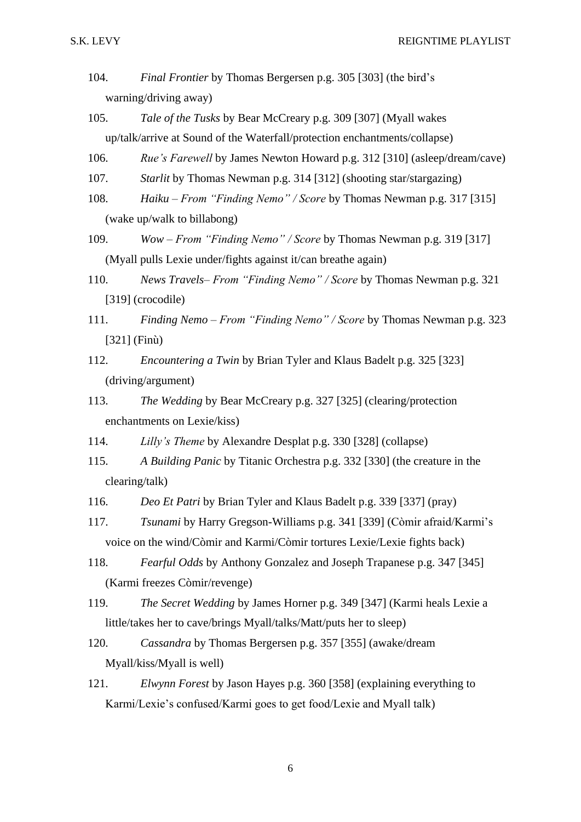- 104. *Final Frontier* by Thomas Bergersen p.g. 305 [303] (the bird's warning/driving away)
- 105. *Tale of the Tusks* by Bear McCreary p.g. 309 [307] (Myall wakes up/talk/arrive at Sound of the Waterfall/protection enchantments/collapse)
- 106. *Rue's Farewell* by James Newton Howard p.g. 312 [310] (asleep/dream/cave)
- 107. *Starlit* by Thomas Newman p.g. 314 [312] (shooting star/stargazing)
- 108. *Haiku – From "Finding Nemo" / Score* by Thomas Newman p.g. 317 [315] (wake up/walk to billabong)
- 109. *Wow – From "Finding Nemo" / Score* by Thomas Newman p.g. 319 [317] (Myall pulls Lexie under/fights against it/can breathe again)
- 110. *News Travels– From "Finding Nemo" / Score* by Thomas Newman p.g. 321 [319] (crocodile)
- 111. *Finding Nemo – From "Finding Nemo" / Score* by Thomas Newman p.g. 323 [321] (Finù)
- 112. *Encountering a Twin* by Brian Tyler and Klaus Badelt p.g. 325 [323] (driving/argument)
- 113. *The Wedding* by Bear McCreary p.g. 327 [325] (clearing/protection enchantments on Lexie/kiss)
- 114. *Lilly's Theme* by Alexandre Desplat p.g. 330 [328] (collapse)
- 115. *A Building Panic* by Titanic Orchestra p.g. 332 [330] (the creature in the clearing/talk)
- 116. *Deo Et Patri* by Brian Tyler and Klaus Badelt p.g. 339 [337] (pray)
- 117. *Tsunami* by Harry Gregson-Williams p.g. 341 [339] (Còmir afraid/Karmi's voice on the wind/Còmir and Karmi/Còmir tortures Lexie/Lexie fights back)
- 118. *Fearful Odds* by Anthony Gonzalez and Joseph Trapanese p.g. 347 [345] (Karmi freezes Còmir/revenge)
- 119. *The Secret Wedding* by James Horner p.g. 349 [347] (Karmi heals Lexie a little/takes her to cave/brings Myall/talks/Matt/puts her to sleep)
- 120. *Cassandra* by Thomas Bergersen p.g. 357 [355] (awake/dream Myall/kiss/Myall is well)
- 121. *Elwynn Forest* by Jason Hayes p.g. 360 [358] (explaining everything to Karmi/Lexie's confused/Karmi goes to get food/Lexie and Myall talk)